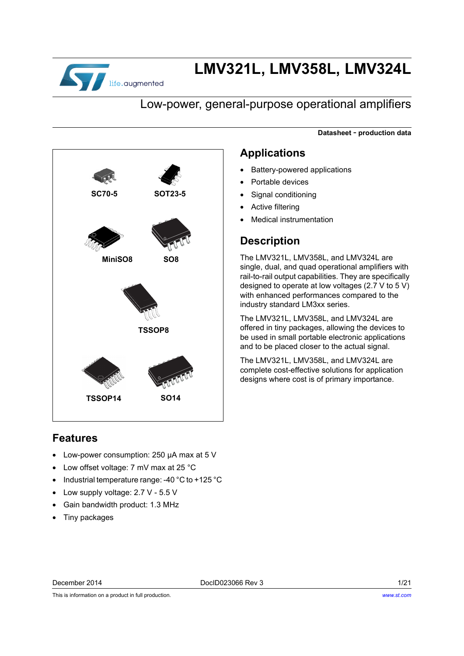

# **LMV321L, LMV358L, LMV324L**

### Low-power, general-purpose operational amplifiers

**Datasheet** - **production data**



### **Features**

- Low-power consumption: 250 µA max at 5 V
- Low offset voltage: 7 mV max at 25 °C
- Industrial temperature range: -40 °C to +125 °C
- Low supply voltage: 2.7 V 5.5 V
- Gain bandwidth product: 1.3 MHz
- Tiny packages

### **Applications**

- Battery-powered applications
- Portable devices
- Signal conditioning
- Active filtering
- Medical instrumentation

### **Description**

The LMV321L, LMV358L, and LMV324L are single, dual, and quad operational amplifiers with rail-to-rail output capabilities. They are specifically designed to operate at low voltages (2.7 V to 5 V) with enhanced performances compared to the industry standard LM3xx series.

The LMV321L, LMV358L, and LMV324L are offered in tiny packages, allowing the devices to be used in small portable electronic applications and to be placed closer to the actual signal.

The LMV321L, LMV358L, and LMV324L are complete cost-effective solutions for application designs where cost is of primary importance.

This is information on a product in full production.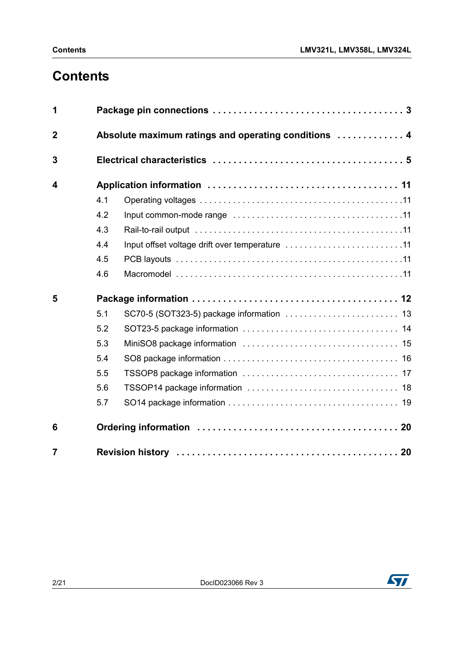## **Contents**

| 1                       |     |                                                      |  |  |  |  |  |  |
|-------------------------|-----|------------------------------------------------------|--|--|--|--|--|--|
| $\overline{2}$          |     | Absolute maximum ratings and operating conditions  4 |  |  |  |  |  |  |
| 3                       |     |                                                      |  |  |  |  |  |  |
| $\overline{\mathbf{4}}$ |     |                                                      |  |  |  |  |  |  |
|                         | 4.1 |                                                      |  |  |  |  |  |  |
|                         | 4.2 |                                                      |  |  |  |  |  |  |
|                         | 4.3 |                                                      |  |  |  |  |  |  |
|                         | 4.4 | Input offset voltage drift over temperature 11       |  |  |  |  |  |  |
|                         | 4.5 |                                                      |  |  |  |  |  |  |
|                         | 4.6 |                                                      |  |  |  |  |  |  |
| 5                       |     |                                                      |  |  |  |  |  |  |
|                         | 5.1 |                                                      |  |  |  |  |  |  |
|                         | 5.2 |                                                      |  |  |  |  |  |  |
|                         | 5.3 |                                                      |  |  |  |  |  |  |
|                         | 5.4 |                                                      |  |  |  |  |  |  |
|                         | 5.5 |                                                      |  |  |  |  |  |  |
|                         | 5.6 |                                                      |  |  |  |  |  |  |
|                         | 5.7 |                                                      |  |  |  |  |  |  |
| 6                       |     |                                                      |  |  |  |  |  |  |
| $\overline{7}$          |     |                                                      |  |  |  |  |  |  |

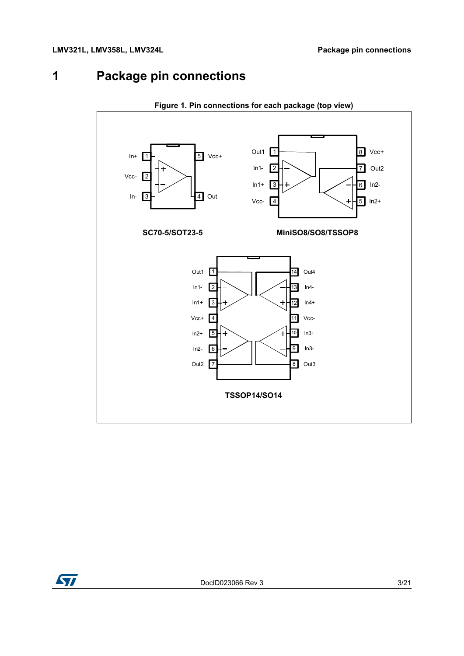## <span id="page-2-0"></span>**1 Package pin connections**



**Figure 1. Pin connections for each package (top view)**

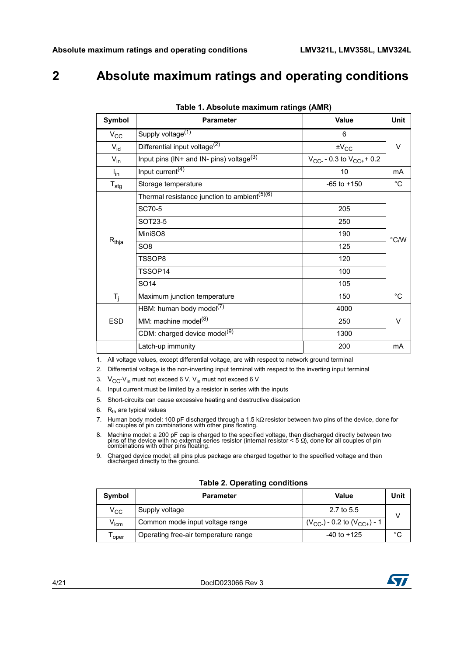## <span id="page-3-0"></span>**2 Absolute maximum ratings and operating conditions**

| Symbol                    | <b>Parameter</b>                                         | Value                             | <b>Unit</b>   |
|---------------------------|----------------------------------------------------------|-----------------------------------|---------------|
| $V_{\rm CC}$              | Supply voltage <sup>(1)</sup>                            | 6                                 |               |
| $V_{id}$                  | Differential input voltage <sup>(2)</sup>                | $\pm V_{CC}$                      | V             |
| $V_{in}$                  | Input pins (IN+ and IN- pins) voltage $(3)$              | $V_{CC}$ - 0.3 to $V_{CC+}$ + 0.2 |               |
| $I_{in}$                  | Input current <sup>(4)</sup>                             | 10                                | mA            |
| $\mathsf{T}_{\text{stg}}$ | Storage temperature                                      | $-65$ to $+150$                   | $^{\circ}$ C  |
|                           | Thermal resistance junction to ambient <sup>(5)(6)</sup> |                                   |               |
|                           | SC70-5                                                   | 205                               |               |
|                           | SOT23-5                                                  | 250                               |               |
|                           | MiniSO8                                                  | 190                               | $\degree$ C/W |
| $R_{thja}$                | SO <sub>8</sub>                                          | 125                               |               |
|                           | TSSOP8                                                   | 120                               |               |
|                           | TSSOP14                                                  | 100                               |               |
|                           | SO <sub>14</sub>                                         | 105                               |               |
| $T_{j}$                   | Maximum junction temperature                             | 150                               | $^{\circ}C$   |
|                           | HBM: human body model <sup>(7)</sup>                     | 4000                              |               |
| <b>ESD</b>                | MM: machine model <sup>(8)</sup>                         | 250                               | V             |
|                           | CDM: charged device model <sup>(9)</sup>                 | 1300                              |               |
|                           | Latch-up immunity                                        | 200                               | mA            |

| Table 1. Absolute maximum ratings (AMR) |  |
|-----------------------------------------|--|
|-----------------------------------------|--|

1. All voltage values, except differential voltage, are with respect to network ground terminal

2. Differential voltage is the non-inverting input terminal with respect to the inverting input terminal

3.  $V_{CC}$ -V<sub>in</sub> must not exceed 6 V, V<sub>in</sub> must not exceed 6 V

- 4. Input current must be limited by a resistor in series with the inputs
- 5. Short-circuits can cause excessive heating and destructive dissipation
- 6.  $R_{th}$  are typical values
- 7. Human body model: 100 pF discharged through a 1.5 kΩ resistor between two pins of the device, done for all couples of pin combinations with other pins floating.
- 8. Machine model: a 200 pF cap is charged to the specified voltage, then discharged directly between two pins of the device with no external series resistor (internal resistor  $\lt$  5  $\Omega$ ), done for all couples of pin com
- 9. Charged device model: all pins plus package are charged together to the specified voltage and then discharged directly to the ground.

|  |  |  | <b>Table 2. Operating conditions</b> |
|--|--|--|--------------------------------------|
|--|--|--|--------------------------------------|

| Symbol           | <b>Parameter</b>                     | Value                                | Unit |
|------------------|--------------------------------------|--------------------------------------|------|
| $\rm v_{cc}$     | Supply voltage                       | 2.7 to 5.5                           |      |
| V <sub>icm</sub> | Common mode input voltage range      | $(V_{CC-})$ - 0.2 to $(V_{CC+})$ - 1 |      |
| oper             | Operating free-air temperature range | $-40$ to $+125$                      | °C   |

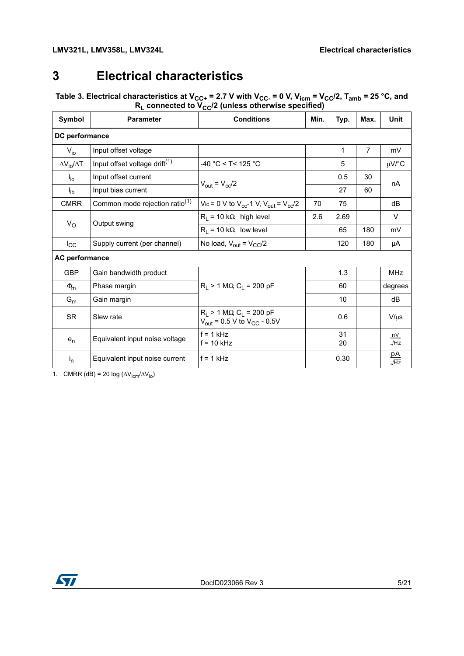## <span id="page-4-0"></span>**3 Electrical characteristics**

Table 3. Electrical characteristics at V<sub>CC+</sub> = 2.7 V with V<sub>CC-</sub> = 0 V, V<sub>icm</sub> = V<sub>CC</sub>/2, T<sub>amb</sub> = 25 °C, and **RL connected to VCC/2 (unless otherwise specified)** 

| Symbol                   | <b>Parameter</b>                           | <b>Conditions</b>                                                                                 | Min. | Typ.     | Max.           | <b>Unit</b>                                        |
|--------------------------|--------------------------------------------|---------------------------------------------------------------------------------------------------|------|----------|----------------|----------------------------------------------------|
| DC performance           |                                            |                                                                                                   |      |          |                |                                                    |
| $V_{i0}$                 | Input offset voltage                       |                                                                                                   |      | 1        | $\overline{7}$ | mV                                                 |
| $\Delta V_{io}/\Delta T$ | Input offset voltage drift <sup>(1)</sup>  | $-40$ °C < T< 125 °C                                                                              |      | 5        |                | $\mu$ V/°C                                         |
| $I_{\text{io}}$          | Input offset current                       | $V_{\text{out}} = V_{\text{cc}}/2$                                                                |      | 0.5      | 30             | nA                                                 |
| $I_{\text{ib}}$          | Input bias current                         |                                                                                                   |      | 27       | 60             |                                                    |
| <b>CMRR</b>              | Common mode rejection ratio <sup>(1)</sup> | Vic = 0 V to $V_{cc}$ -1 V, $V_{out} = V_{cc}/2$                                                  | 70   | 75       |                | dB                                                 |
|                          | Output swing                               | $R_L$ = 10 k $\Omega$ , high level                                                                | 2.6  | 2.69     |                | V                                                  |
| $V_{\rm O}$              |                                            | $R_1 = 10 k\Omega$ , low level                                                                    |      | 65       | 180            | mV                                                 |
| $I_{\rm CC}$             | Supply current (per channel)               | No load, $V_{\text{out}} = V_{\text{CC}}/2$                                                       |      | 120      | 180            | μA                                                 |
| AC performance           |                                            |                                                                                                   |      |          |                |                                                    |
| <b>GBP</b>               | Gain bandwidth product                     |                                                                                                   |      | 1.3      |                | <b>MHz</b>                                         |
| $\Phi_{\rm m}$           | Phase margin                               | $R_1 > 1 M\Omega$ , $C_1 = 200 pF$                                                                |      | 60       |                | degrees                                            |
| $G_m$                    | Gain margin                                |                                                                                                   |      | 10       |                | dB                                                 |
| <b>SR</b>                | Slew rate                                  | $R_1 > 1 M\Omega$ , C <sub>1</sub> = 200 pF<br>$V_{\text{out}}$ = 0.5 V to $V_{\text{CC}}$ - 0.5V |      | 0.6      |                | $V/\mu s$                                          |
| $e_n$                    | Equivalent input noise voltage             | $f = 1$ kHz<br>$f = 10$ kHz                                                                       |      | 31<br>20 |                | $\frac{\mathsf{n} \mathsf{V}}{\sqrt{\mathsf{Hz}}}$ |
| $I_{n}$                  | Equivalent input noise current             | $f = 1$ kHz                                                                                       |      | 0.30     |                | $\frac{pA}{\sqrt{Hz}}$                             |

1. CMRR (dB) = 20 log ( $\Delta V_{\text{icm}}/\Delta V_{\text{io}}$ )

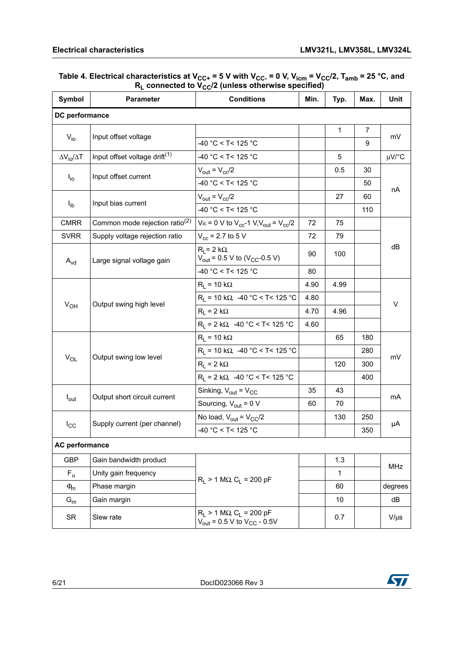| Symbol                          | <b>Parameter</b>                           | <b>Conditions</b>                                                                        | Min. | Typ.         | Max.           | Unit       |  |
|---------------------------------|--------------------------------------------|------------------------------------------------------------------------------------------|------|--------------|----------------|------------|--|
| DC performance                  |                                            |                                                                                          |      |              |                |            |  |
|                                 |                                            |                                                                                          |      | $\mathbf{1}$ | $\overline{7}$ |            |  |
| $V_{io}$                        | Input offset voltage                       | $-40 °C < T < 125 °C$                                                                    |      |              | 9              | mV         |  |
| $\Delta V_{\text{io}}/\Delta T$ | Input offset voltage drift <sup>(1)</sup>  | $-40$ °C < T< 125 °C                                                                     |      | 5            |                | $\mu$ V/°C |  |
|                                 | Input offset current                       | $V_{\text{out}} = V_{\text{cc}}/2$                                                       |      | 0.5          | 30             |            |  |
| $I_{\text{io}}$                 |                                            | $-40 °C < T < 125 °C$                                                                    |      |              | 50             |            |  |
|                                 |                                            | $V_{\text{out}} = V_{\text{cc}}/2$                                                       |      | 27           | 60             | nA         |  |
| $I_{\text{ib}}$                 | Input bias current                         | -40 °C < T< 125 °C                                                                       |      |              | 110            |            |  |
| <b>CMRR</b>                     | Common mode rejection ratio <sup>(2)</sup> | Vic = 0 V to $V_{cc}$ -1 V, $V_{out} = V_{cc}/2$                                         | 72   | 75           |                |            |  |
| <b>SVRR</b>                     | Supply voltage rejection ratio             | $V_{cc}$ = 2.7 to 5 V                                                                    | 72   | 79           |                |            |  |
| $A_{\text{vd}}$                 | Large signal voltage gain                  | $R_1 = 2 k\Omega$<br>$V_{\text{out}}$ = 0.5 V to (V <sub>CC</sub> -0.5 V)                | 90   | 100          |                | dB         |  |
|                                 |                                            | $-40 °C < T < 125 °C$                                                                    | 80   |              |                |            |  |
|                                 |                                            | $R_1 = 10 k\Omega$                                                                       | 4.90 | 4.99         |                | V          |  |
|                                 | Output swing high level                    | $R_L$ = 10 k $\Omega$ , -40 °C < T< 125 °C                                               | 4.80 |              |                |            |  |
| $V_{OH}$                        |                                            | $R_1 = 2 k\Omega$                                                                        | 4.70 | 4.96         |                |            |  |
|                                 |                                            | $R_1 = 2 k\Omega$ , -40 °C < T< 125 °C                                                   | 4.60 |              |                |            |  |
|                                 |                                            | $R_1 = 10 k\Omega$                                                                       |      | 65           | 180            |            |  |
|                                 | Output swing low level                     | $R_1$ = 10 kΩ, -40 °C < T< 125 °C                                                        |      |              | 280            |            |  |
| $V_{OL}$                        |                                            | $R_1 = 2 k\Omega$                                                                        |      | 120          | 300            | mV         |  |
|                                 |                                            | $R_1 = 2 k\Omega$ , -40 °C < T< 125 °C                                                   |      |              | 400            |            |  |
|                                 | Output short circuit current               | Sinking, $V_{\text{out}} = V_{\text{CC}}$                                                | 35   | 43           |                | mA         |  |
| $I_{\text{out}}$                |                                            | Sourcing, $V_{\text{out}} = 0 V$                                                         | 60   | 70           |                |            |  |
|                                 | Supply current (per channel)               | No load, $V_{\text{out}} = V_{\text{CC}}/2$                                              |      | 130          | 250            |            |  |
| $I_{\rm CC}$                    |                                            | $-40$ °C < T< 125 °C                                                                     |      |              | 350            | μA         |  |
| <b>AC performance</b>           |                                            |                                                                                          |      |              |                |            |  |
| <b>GBP</b>                      | Gain bandwidth product                     |                                                                                          |      | 1.3          |                | <b>MHz</b> |  |
| $F_{\rm u}$                     | Unity gain frequency                       | $R_1 > 1 M\Omega$ , $C_1 = 200 pF$                                                       |      | 1            |                |            |  |
| $\Phi_{\!m}$                    | Phase margin                               |                                                                                          |      | 60           |                | degrees    |  |
| $G_m$                           | Gain margin                                |                                                                                          |      | 10           |                | dB         |  |
| <b>SR</b>                       | Slew rate                                  | $R_1 > 1 M\Omega$ , $C_1 = 200 pF$<br>$V_{\text{out}}$ = 0.5 V to $V_{\text{CC}}$ - 0.5V |      | 0.7          |                | $V/\mu s$  |  |

#### Table 4. Electrical characteristics at V<sub>CC+</sub> = 5 V with V<sub>CC-</sub> = 0 V, V<sub>icm</sub> = V<sub>CC</sub>/2, T<sub>amb</sub> = 25 °C, and **RL connected to VCC/2 (unless otherwise specified)**

6/21 DocID023066 Rev 3

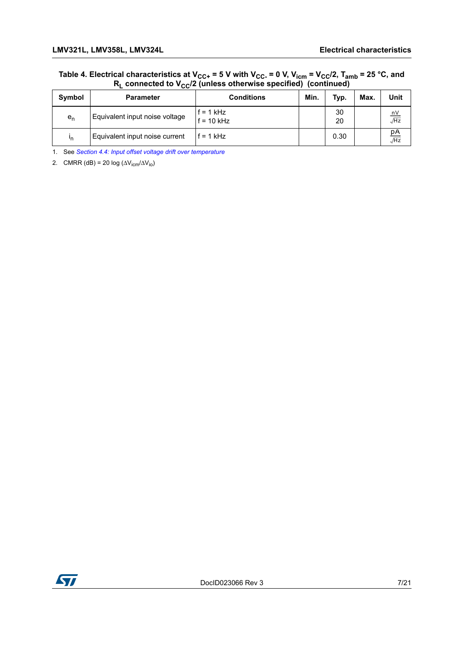#### Table 4. Electrical characteristics at V<sub>CC+</sub> = 5 V with V<sub>CC-</sub> = 0 V, V<sub>icm</sub> = V<sub>CC</sub>/2, T<sub>amb</sub> = 25 °C, and **RL connected to VCC/2 (unless otherwise specified) (continued)**

| <b>Symbol</b> | <b>Parameter</b>               | <b>Conditions</b>         | Min. | Typ.     | Max. | Unit                                |
|---------------|--------------------------------|---------------------------|------|----------|------|-------------------------------------|
| $e_n$         | Equivalent input noise voltage | f = 1 kHz<br>$f = 10$ kHz |      | 30<br>20 |      | nV<br>$\sqrt{Hz}$                   |
| 'n            | Equivalent input noise current | $= 1$ kHz                 |      | 0.30     |      | <u>рА</u><br>$\overline{\sqrt{Hz}}$ |

<span id="page-6-0"></span>1. See *[Section 4.4: Input offset voltage drift over temperature](#page-10-4)*

2. CMRR (dB) = 20 log ( $\Delta V_{icm}/\Delta V_{io}$ )

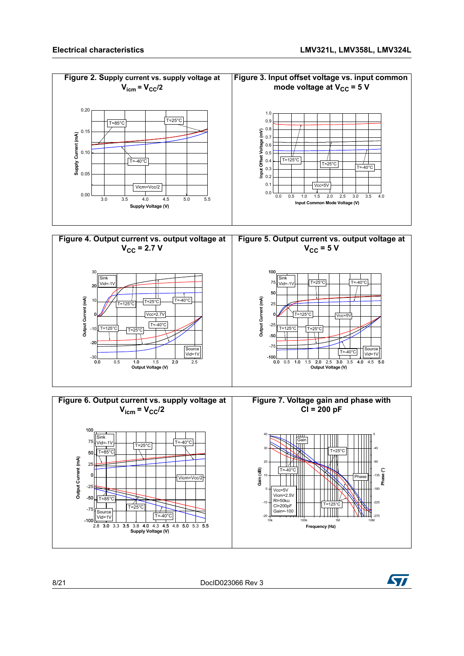



8/21 DocID023066 Rev 3

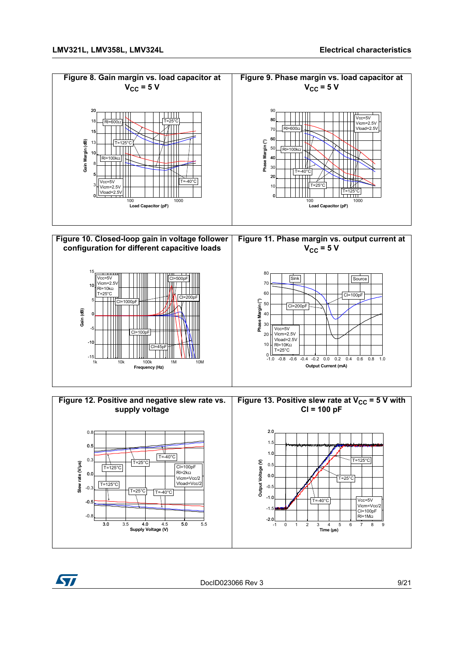







DocID023066 Rev 3 9/21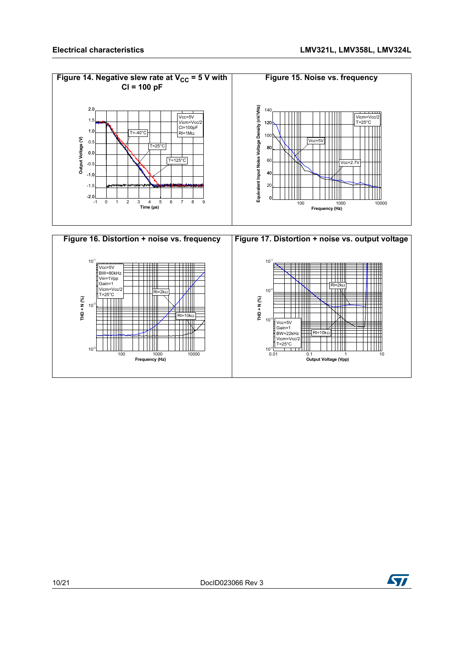



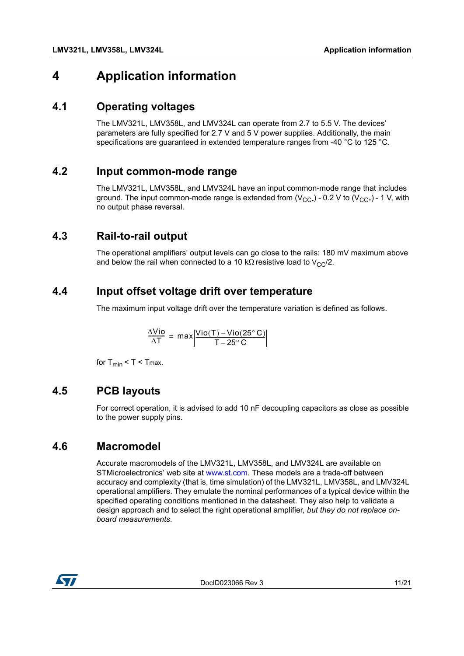### <span id="page-10-0"></span>**4 Application information**

### <span id="page-10-1"></span>**4.1 Operating voltages**

The LMV321L, LMV358L, and LMV324L can operate from 2.7 to 5.5 V. The devices' parameters are fully specified for 2.7 V and 5 V power supplies. Additionally, the main specifications are guaranteed in extended temperature ranges from -40 °C to 125 °C.

### <span id="page-10-2"></span>**4.2 Input common-mode range**

The LMV321L, LMV358L, and LMV324L have an input common-mode range that includes ground. The input common-mode range is extended from  $(V_{CC-})$  - 0.2 V to  $(V_{CC+})$  - 1 V, with no output phase reversal.

### <span id="page-10-3"></span>**4.3 Rail-to-rail output**

The operational amplifiers' output levels can go close to the rails: 180 mV maximum above and below the rail when connected to a 10 kΩ resistive load to  $V_{CC}/2$ .

### <span id="page-10-4"></span>**4.4 Input offset voltage drift over temperature**

The maximum input voltage drift over the temperature variation is defined as follows.

$$
\frac{\Delta Vio}{\Delta T} = max \left| \frac{Vio(T) - Vio(25^{\circ}C)}{T - 25^{\circ}C} \right|
$$

for  $T_{min}$  <  $T$  <  $T_{max}$ .

### <span id="page-10-5"></span>**4.5 PCB layouts**

For correct operation, it is advised to add 10 nF decoupling capacitors as close as possible to the power supply pins.

### <span id="page-10-6"></span>**4.6 Macromodel**

Accurate macromodels of the LMV321L, LMV358L, and LMV324L are available on STMicroelectronics' web site at [www.st.com.](http://www.st.com) These models are a trade-off between accuracy and complexity (that is, time simulation) of the LMV321L, LMV358L, and LMV324L operational amplifiers. They emulate the nominal performances of a typical device within the specified operating conditions mentioned in the datasheet. They also help to validate a design approach and to select the right operational amplifier, *but they do not replace onboard measurements*.

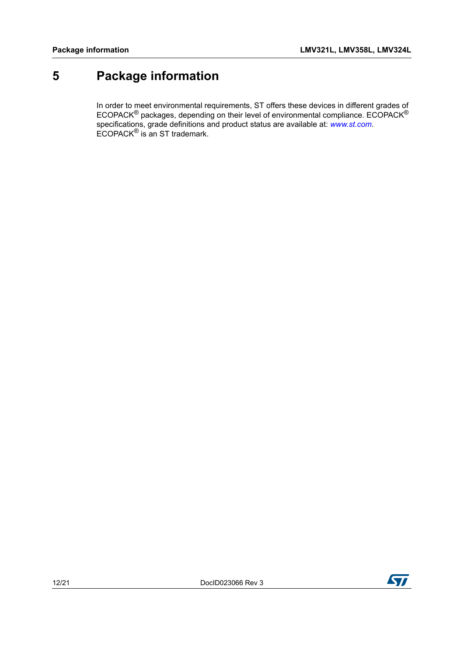## <span id="page-11-0"></span>**5 Package information**

In order to meet environmental requirements, ST offers these devices in different grades of ECOPACK<sup>®</sup> packages, depending on their level of environmental compliance. ECOPACK<sup>®</sup> specifications, grade definitions and product status are available at: *[www.st.com](http://www.st.com)*. ECOPACK® is an ST trademark.



**177**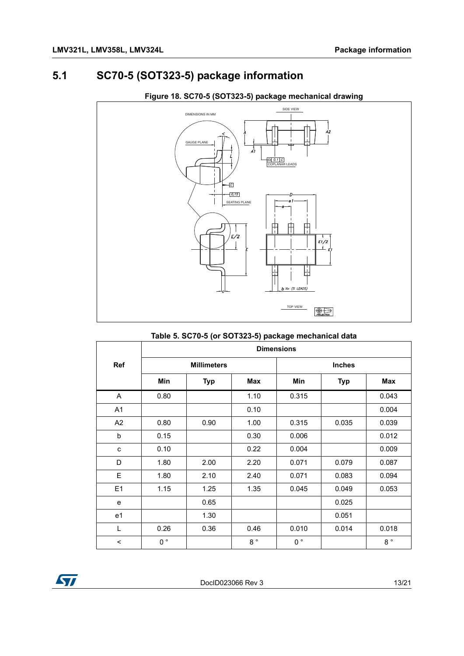### <span id="page-12-0"></span>**5.1 SC70-5 (SOT323-5) package information**



#### **Figure 18. SC70-5 (SOT323-5) package mechanical drawing**

**Table 5. SC70-5 (or SOT323-5) package mechanical data**

|                | <b>Dimensions</b> |                    |             |               |            |             |  |  |  |
|----------------|-------------------|--------------------|-------------|---------------|------------|-------------|--|--|--|
| <b>Ref</b>     |                   | <b>Millimeters</b> |             | <b>Inches</b> |            |             |  |  |  |
|                | Min               | <b>Typ</b>         | Max         | Min           | <b>Typ</b> | Max         |  |  |  |
| $\mathsf{A}$   | 0.80              |                    | 1.10        | 0.315         |            | 0.043       |  |  |  |
| A <sub>1</sub> |                   |                    | 0.10        |               |            | 0.004       |  |  |  |
| A <sub>2</sub> | 0.80              | 0.90               | 1.00        | 0.315         | 0.035      | 0.039       |  |  |  |
| b              | 0.15              |                    | 0.30        | 0.006         |            | 0.012       |  |  |  |
| C              | 0.10              |                    | 0.22        | 0.004         |            | 0.009       |  |  |  |
| D              | 1.80              | 2.00               | 2.20        | 0.071         | 0.079      | 0.087       |  |  |  |
| E              | 1.80              | 2.10               | 2.40        | 0.071         | 0.083      | 0.094       |  |  |  |
| E1             | 1.15              | 1.25               | 1.35        | 0.045         | 0.049      | 0.053       |  |  |  |
| $\mathbf e$    |                   | 0.65               |             |               | 0.025      |             |  |  |  |
| e <sub>1</sub> |                   | 1.30               |             |               | 0.051      |             |  |  |  |
| L              | 0.26              | 0.36               | 0.46        | 0.010         | 0.014      | 0.018       |  |  |  |
| $\,<$          | $0^{\circ}$       |                    | $8^{\circ}$ | $0^{\circ}$   |            | $8^{\circ}$ |  |  |  |



DocID023066 Rev 3 13/21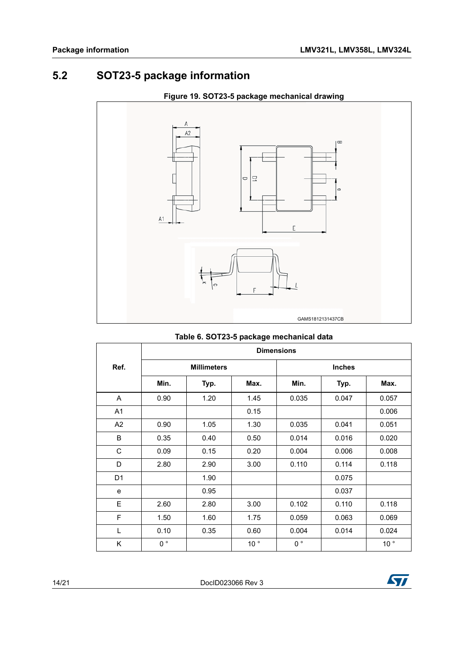## <span id="page-13-0"></span>**5.2 SOT23-5 package information**



#### **Figure 19. SOT23-5 package mechanical drawing**

<span id="page-13-1"></span>

|                | <b>Dimensions</b> |                    |                 |               |       |                 |  |  |  |
|----------------|-------------------|--------------------|-----------------|---------------|-------|-----------------|--|--|--|
| Ref.           |                   | <b>Millimeters</b> |                 | <b>Inches</b> |       |                 |  |  |  |
|                | Min.              | Typ.               | Max.            | Min.          | Typ.  | Max.            |  |  |  |
| A              | 0.90              | 1.20               | 1.45            | 0.035         | 0.047 | 0.057           |  |  |  |
| A <sub>1</sub> |                   |                    | 0.15            |               |       | 0.006           |  |  |  |
| A <sub>2</sub> | 0.90              | 1.05               | 1.30            | 0.035         | 0.041 | 0.051           |  |  |  |
| B              | 0.35              | 0.40               | 0.50            | 0.014         | 0.016 | 0.020           |  |  |  |
| C              | 0.09              | 0.15               | 0.20            | 0.004         | 0.006 | 0.008           |  |  |  |
| D              | 2.80              | 2.90               | 3.00            | 0.110         | 0.114 | 0.118           |  |  |  |
| D <sub>1</sub> |                   | 1.90               |                 |               | 0.075 |                 |  |  |  |
| e              |                   | 0.95               |                 |               | 0.037 |                 |  |  |  |
| E              | 2.60              | 2.80               | 3.00            | 0.102         | 0.110 | 0.118           |  |  |  |
| F              | 1.50              | 1.60               | 1.75            | 0.059         | 0.063 | 0.069           |  |  |  |
| L              | 0.10              | 0.35               | 0.60            | 0.004         | 0.014 | 0.024           |  |  |  |
| K              | $0^{\circ}$       |                    | 10 <sup>°</sup> | $0^{\circ}$   |       | 10 <sup>°</sup> |  |  |  |

#### **Table 6. SOT23-5 package mechanical data**



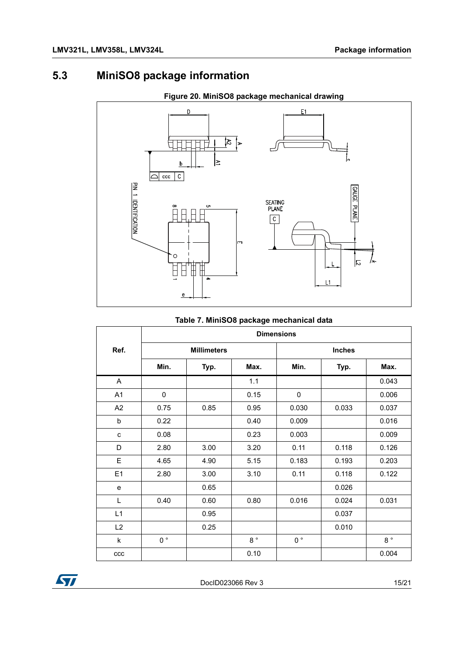## <span id="page-14-0"></span>**5.3 MiniSO8 package information**



#### **Figure 20. MiniSO8 package mechanical drawing**

#### **Table 7. MiniSO8 package mechanical data**

|      | <b>Dimensions</b> |                    |              |               |       |                  |  |  |  |
|------|-------------------|--------------------|--------------|---------------|-------|------------------|--|--|--|
| Ref. |                   | <b>Millimeters</b> |              | <b>Inches</b> |       |                  |  |  |  |
|      | Min.              | Typ.               | Max.         | Min.          | Typ.  | Max.             |  |  |  |
| A    |                   |                    | 1.1          |               |       | 0.043            |  |  |  |
| A1   | 0                 |                    | 0.15         | 0             |       | 0.006            |  |  |  |
| A2   | 0.75              | 0.85               | 0.95         | 0.030         | 0.033 | 0.037            |  |  |  |
| b    | 0.22              |                    | 0.40         | 0.009         |       | 0.016            |  |  |  |
| C    | 0.08              |                    | 0.23         | 0.003         |       | 0.009            |  |  |  |
| D    | 2.80              | 3.00               | 3.20         | 0.11          | 0.118 | 0.126            |  |  |  |
| E    | 4.65              | 4.90               | 5.15         | 0.183         | 0.193 | 0.203            |  |  |  |
| E1   | 2.80              | 3.00               | 3.10         | 0.11          | 0.118 | 0.122            |  |  |  |
| e    |                   | 0.65               |              |               | 0.026 |                  |  |  |  |
| L    | 0.40              | 0.60               | 0.80         | 0.016         | 0.024 | 0.031            |  |  |  |
| L1   |                   | 0.95               |              |               | 0.037 |                  |  |  |  |
| L2   |                   | 0.25               |              |               | 0.010 |                  |  |  |  |
| k    | $0^{\circ}$       |                    | $8~^{\circ}$ | $0^{\circ}$   |       | $8\,$ $^{\circ}$ |  |  |  |
| ccc  |                   |                    | 0.10         |               |       | 0.004            |  |  |  |



DocID023066 Rev 3 15/21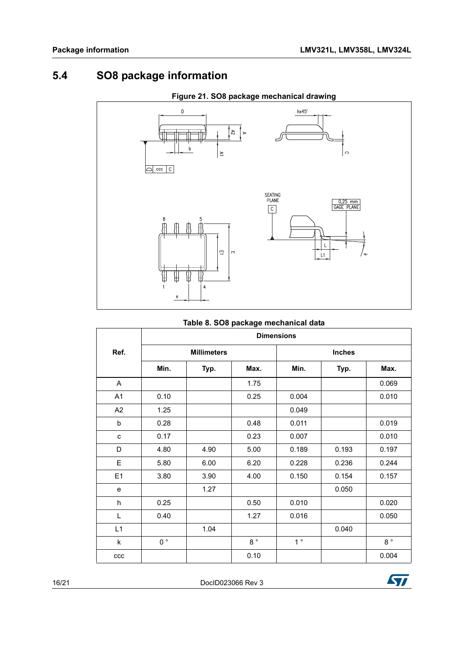## <span id="page-15-0"></span>**5.4 SO8 package information**



#### **Figure 21. SO8 package mechanical drawing**

|  |  | Table 8. SO8 package mechanical data |  |
|--|--|--------------------------------------|--|
|  |  |                                      |  |

| rable 0. 000 package mechanical data |                   |                    |             |                |               |             |
|--------------------------------------|-------------------|--------------------|-------------|----------------|---------------|-------------|
|                                      | <b>Dimensions</b> |                    |             |                |               |             |
| Ref.                                 |                   | <b>Millimeters</b> |             |                | <b>Inches</b> |             |
|                                      | Min.              | Typ.               | Max.        | Min.           | Typ.          | Max.        |
| A                                    |                   |                    | 1.75        |                |               | 0.069       |
| A1                                   | 0.10              |                    | 0.25        | 0.004          |               | 0.010       |
| A2                                   | 1.25              |                    |             | 0.049          |               |             |
| $\sf b$                              | 0.28              |                    | 0.48        | 0.011          |               | 0.019       |
| C                                    | 0.17              |                    | 0.23        | 0.007          |               | 0.010       |
| D                                    | 4.80              | 4.90               | 5.00        | 0.189          | 0.193         | 0.197       |
| E                                    | 5.80              | 6.00               | 6.20        | 0.228          | 0.236         | 0.244       |
| E1                                   | 3.80              | 3.90               | 4.00        | 0.150          | 0.154         | 0.157       |
| e                                    |                   | 1.27               |             |                | 0.050         |             |
| h                                    | 0.25              |                    | 0.50        | 0.010          |               | 0.020       |
| Г                                    | 0.40              |                    | 1.27        | 0.016          |               | 0.050       |
| L1                                   |                   | 1.04               |             |                | 0.040         |             |
| k                                    | $0^{\circ}$       |                    | $8^{\circ}$ | 1 <sup>°</sup> |               | $8^{\circ}$ |
| ccc                                  |                   |                    | 0.10        |                |               | 0.004       |

16/21 DocID023066 Rev 3

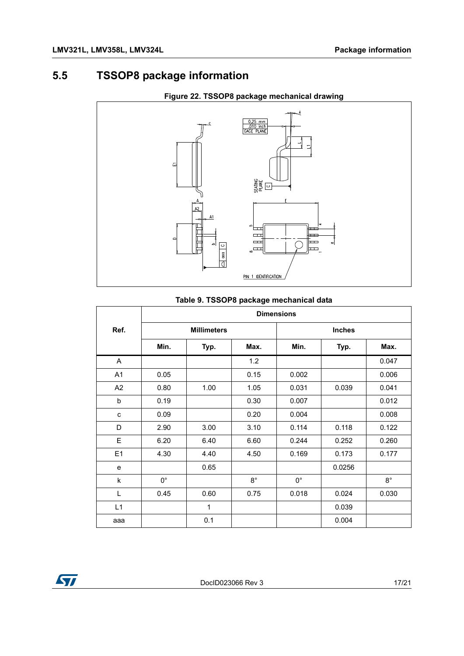### <span id="page-16-0"></span>**5.5 TSSOP8 package information**



#### **Figure 22. TSSOP8 package mechanical drawing**

#### **Table 9. TSSOP8 package mechanical data**

|                | <b>Dimensions</b> |                    |             |             |               |             |  |
|----------------|-------------------|--------------------|-------------|-------------|---------------|-------------|--|
| Ref.           |                   | <b>Millimeters</b> |             |             | <b>Inches</b> |             |  |
|                | Min.              | Typ.               | Max.        | Min.        | Typ.          | Max.        |  |
| A              |                   |                    | 1.2         |             |               | 0.047       |  |
| A1             | 0.05              |                    | 0.15        | 0.002       |               | 0.006       |  |
| A2             | 0.80              | 1.00               | 1.05        | 0.031       | 0.039         | 0.041       |  |
| b              | 0.19              |                    | 0.30        | 0.007       |               | 0.012       |  |
| C              | 0.09              |                    | 0.20        | 0.004       |               | 0.008       |  |
| D              | 2.90              | 3.00               | 3.10        | 0.114       | 0.118         | 0.122       |  |
| E              | 6.20              | 6.40               | 6.60        | 0.244       | 0.252         | 0.260       |  |
| E <sub>1</sub> | 4.30              | 4.40               | 4.50        | 0.169       | 0.173         | 0.177       |  |
| e              |                   | 0.65               |             |             | 0.0256        |             |  |
| k              | $0^{\circ}$       |                    | $8^{\circ}$ | $0^{\circ}$ |               | $8^{\circ}$ |  |
| L              | 0.45              | 0.60               | 0.75        | 0.018       | 0.024         | 0.030       |  |
| L1             |                   | $\mathbf{1}$       |             |             | 0.039         |             |  |
| aaa            |                   | 0.1                |             |             | 0.004         |             |  |

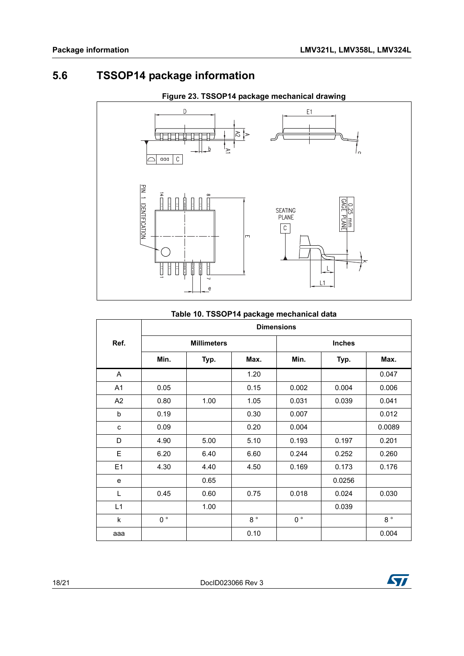## <span id="page-17-0"></span>**5.6 TSSOP14 package information**



#### **Figure 23. TSSOP14 package mechanical drawing**

#### **Table 10. TSSOP14 package mechanical data**

|                | <b>Dimensions</b> |                    |             |             |               |             |
|----------------|-------------------|--------------------|-------------|-------------|---------------|-------------|
| Ref.           |                   | <b>Millimeters</b> |             |             | <b>Inches</b> |             |
|                | Min.              | Typ.               | Max.        | Min.        | Typ.          | Max.        |
| A              |                   |                    | 1.20        |             |               | 0.047       |
| A1             | 0.05              |                    | 0.15        | 0.002       | 0.004         | 0.006       |
| A <sub>2</sub> | 0.80              | 1.00               | 1.05        | 0.031       | 0.039         | 0.041       |
| b              | 0.19              |                    | 0.30        | 0.007       |               | 0.012       |
| C              | 0.09              |                    | 0.20        | 0.004       |               | 0.0089      |
| D              | 4.90              | 5.00               | 5.10        | 0.193       | 0.197         | 0.201       |
| E              | 6.20              | 6.40               | 6.60        | 0.244       | 0.252         | 0.260       |
| E1             | 4.30              | 4.40               | 4.50        | 0.169       | 0.173         | 0.176       |
| e              |                   | 0.65               |             |             | 0.0256        |             |
| L              | 0.45              | 0.60               | 0.75        | 0.018       | 0.024         | 0.030       |
| L1             |                   | 1.00               |             |             | 0.039         |             |
| k              | $0^{\circ}$       |                    | $8^{\circ}$ | $0^{\circ}$ |               | $8^{\circ}$ |
| aaa            |                   |                    | 0.10        |             |               | 0.004       |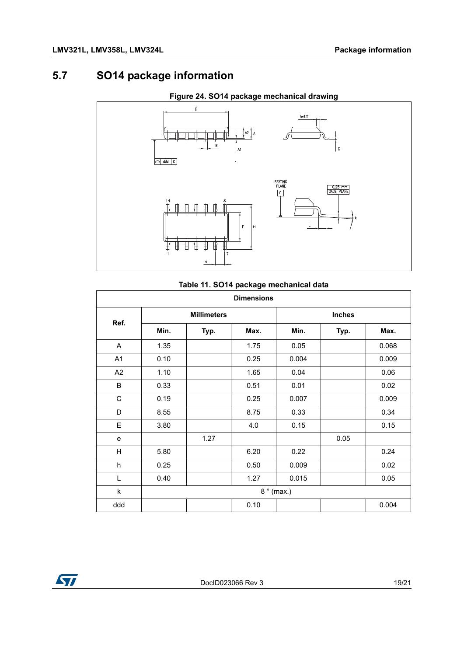### <span id="page-18-0"></span>**5.7 SO14 package information**



#### **Figure 24. SO14 package mechanical drawing**

#### **Table 11. SO14 package mechanical data**

| <b>Dimensions</b> |                    |      |      |               |      |       |
|-------------------|--------------------|------|------|---------------|------|-------|
| Ref.              | <b>Millimeters</b> |      |      | <b>Inches</b> |      |       |
|                   | Min.               | Typ. | Max. | Min.          | Typ. | Max.  |
| A                 | 1.35               |      | 1.75 | 0.05          |      | 0.068 |
| A1                | 0.10               |      | 0.25 | 0.004         |      | 0.009 |
| A <sub>2</sub>    | 1.10               |      | 1.65 | 0.04          |      | 0.06  |
| B                 | 0.33               |      | 0.51 | 0.01          |      | 0.02  |
| $\mathsf C$       | 0.19               |      | 0.25 | 0.007         |      | 0.009 |
| D                 | 8.55               |      | 8.75 | 0.33          |      | 0.34  |
| E                 | 3.80               |      | 4.0  | 0.15          |      | 0.15  |
| e                 |                    | 1.27 |      |               | 0.05 |       |
| H                 | 5.80               |      | 6.20 | 0.22          |      | 0.24  |
| h                 | 0.25               |      | 0.50 | 0.009         |      | 0.02  |
| Г                 | 0.40               |      | 1.27 | 0.015         |      | 0.05  |
| k                 | $8°$ (max.)        |      |      |               |      |       |
| ddd               |                    |      | 0.10 |               |      | 0.004 |

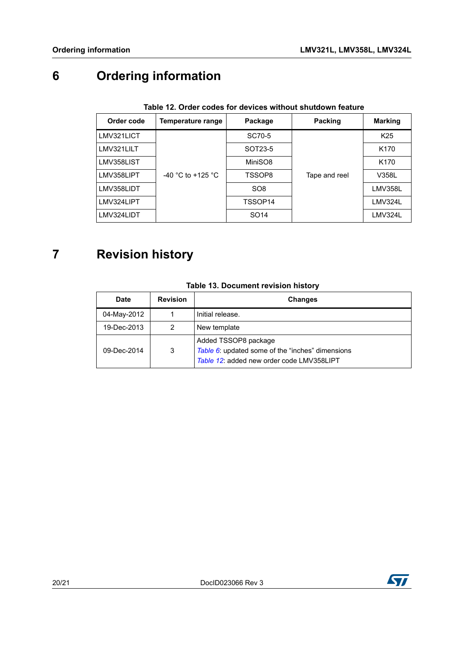## <span id="page-19-0"></span>**6 Ordering information**

<span id="page-19-2"></span>

| Order code | Temperature range | Package          | Packing       | <b>Marking</b>   |  |  |
|------------|-------------------|------------------|---------------|------------------|--|--|
| LMV321LICT |                   | SC70-5           |               | K <sub>25</sub>  |  |  |
| LMV321LILT |                   | SOT23-5          |               | K170             |  |  |
| LMV358LIST |                   | MiniSO8          |               | K <sub>170</sub> |  |  |
| LMV358LIPT | -40 °C to +125 °C | TSSOP8           | Tape and reel | V358L            |  |  |
| LMV358LIDT |                   | SO <sub>8</sub>  |               | <b>LMV358L</b>   |  |  |
| LMV324LIPT |                   | TSSOP14          |               | LMV324L          |  |  |
| LMV324LIDT |                   | SO <sub>14</sub> |               | LMV324L          |  |  |

#### **Table 12. Order codes for devices without shutdown feature**

## <span id="page-19-1"></span>**7 Revision history**

| <b>Date</b> | <b>Revision</b> | <b>Changes</b>                                                                                                        |
|-------------|-----------------|-----------------------------------------------------------------------------------------------------------------------|
| 04-May-2012 |                 | Initial release.                                                                                                      |
| 19-Dec-2013 | 2               | New template                                                                                                          |
| 09-Dec-2014 | 3               | Added TSSOP8 package<br>Table 6: updated some of the "inches" dimensions<br>Table 12: added new order code LMV358LIPT |

#### **Table 13. Document revision history**